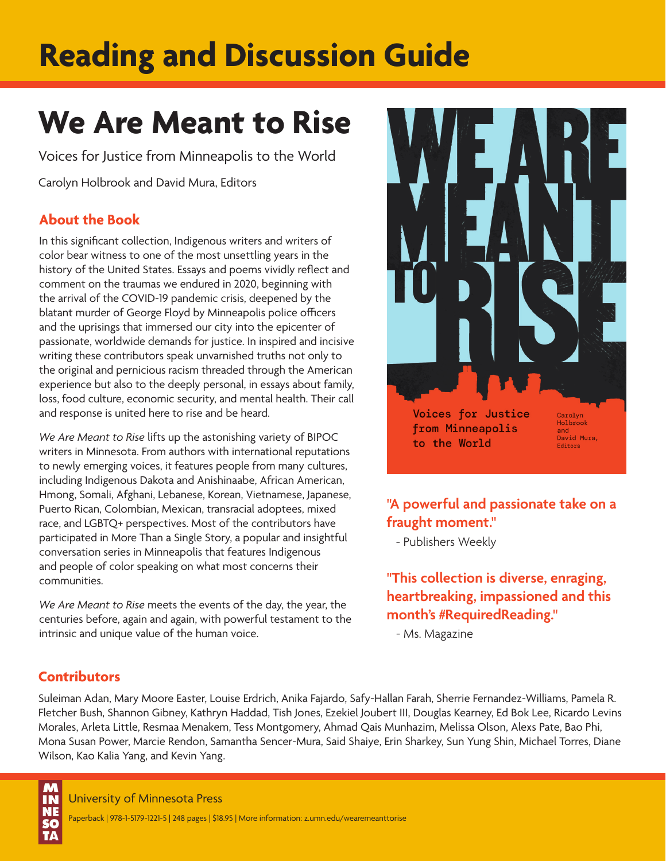# **Reading and Discussion Guide**

# **We Are Meant to Rise**

Voices for Justice from Minneapolis to the World

Carolyn Holbrook and David Mura, Editors

# **About the Book**

In this significant collection, Indigenous writers and writers of color bear witness to one of the most unsettling years in the history of the United States. Essays and poems vividly reflect and comment on the traumas we endured in 2020, beginning with the arrival of the COVID-19 pandemic crisis, deepened by the blatant murder of George Floyd by Minneapolis police officers and the uprisings that immersed our city into the epicenter of passionate, worldwide demands for justice. In inspired and incisive writing these contributors speak unvarnished truths not only to the original and pernicious racism threaded through the American experience but also to the deeply personal, in essays about family, loss, food culture, economic security, and mental health. Their call and response is united here to rise and be heard.

*We Are Meant to Rise* lifts up the astonishing variety of BIPOC writers in Minnesota. From authors with international reputations to newly emerging voices, it features people from many cultures, including Indigenous Dakota and Anishinaabe, African American, Hmong, Somali, Afghani, Lebanese, Korean, Vietnamese, Japanese, Puerto Rican, Colombian, Mexican, transracial adoptees, mixed race, and LGBTQ+ perspectives. Most of the contributors have participated in More Than a Single Story, a popular and insightful conversation series in Minneapolis that features Indigenous and people of color speaking on what most concerns their communities.

*We Are Meant to Rise* meets the events of the day, the year, the centuries before, again and again, with powerful testament to the intrinsic and unique value of the human voice.



**"A powerful and passionate take on a fraught moment."**

- Publishers Weekly

**"This collection is diverse, enraging, heartbreaking, impassioned and this month's #RequiredReading."** 

- Ms. Magazine

# **Contributors**

Suleiman Adan, Mary Moore Easter, Louise Erdrich, Anika Fajardo, Safy-Hallan Farah, Sherrie Fernandez-Williams, Pamela R. Fletcher Bush, Shannon Gibney, Kathryn Haddad, Tish Jones, Ezekiel Joubert III, Douglas Kearney, Ed Bok Lee, Ricardo Levins Morales, Arleta Little, Resmaa Menakem, Tess Montgomery, Ahmad Qais Munhazim, Melissa Olson, Alexs Pate, Bao Phi, Mona Susan Power, Marcie Rendon, Samantha Sencer-Mura, Said Shaiye, Erin Sharkey, Sun Yung Shin, Michael Torres, Diane Wilson, Kao Kalia Yang, and Kevin Yang.

**M**<br>IN

University of Minnesota Press

Paperback | 978-1-5179-1221-5 | 248 pages | \$18.95 | More information: z.umn.edu/wearemeanttorise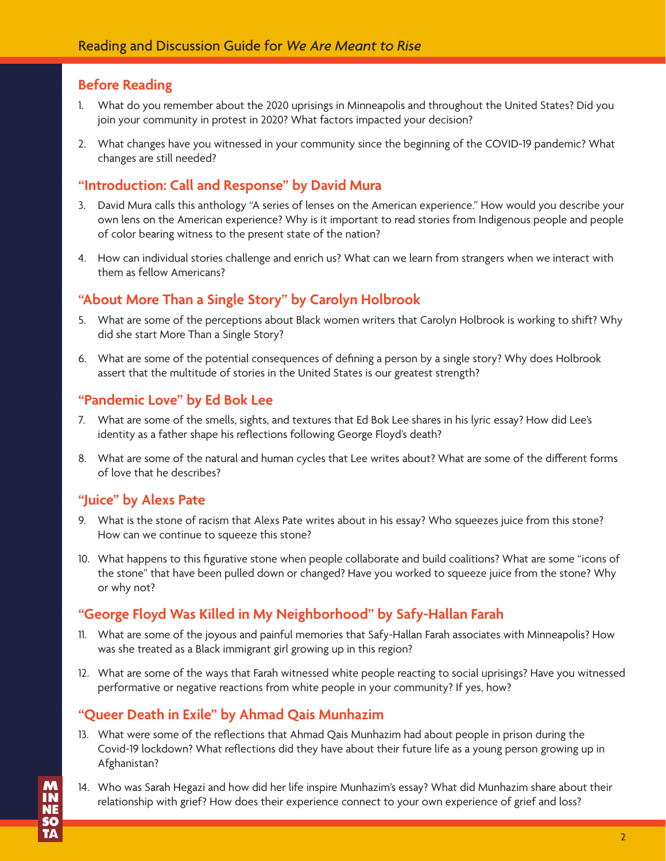## **Before Reading**

- 1. What do you remember about the 2020 uprisings in Minneapolis and throughout the United States? Did you join your community in protest in 2020? What factors impacted your decision?
- 2. What changes have you witnessed in your community since the beginning of the COVID-19 pandemic? What changes are still needed?

## **"Introduction: Call and Response" by David Mura**

- 3. David Mura calls this anthology "A series of lenses on the American experience." How would you describe your own lens on the American experience? Why is it important to read stories from Indigenous people and people of color bearing witness to the present state of the nation?
- 4. How can individual stories challenge and enrich us? What can we learn from strangers when we interact with them as fellow Americans?

## **"About More Than a Single Story" by Carolyn Holbrook**

- 5. What are some of the perceptions about Black women writers that Carolyn Holbrook is working to shift? Why did she start More Than a Single Story?
- 6. What are some of the potential consequences of defining a person by a single story? Why does Holbrook assert that the multitude of stories in the United States is our greatest strength?

## **"Pandemic Love" by Ed Bok Lee**

- 7. What are some of the smells, sights, and textures that Ed Bok Lee shares in his lyric essay? How did Lee's identity as a father shape his reflections following George Floyd's death?
- 8. What are some of the natural and human cycles that Lee writes about? What are some of the different forms of love that he describes?

#### **"Juice" by Alexs Pate**

- 9. What is the stone of racism that Alexs Pate writes about in his essay? Who squeezes juice from this stone? How can we continue to squeeze this stone?
- 10. What happens to this figurative stone when people collaborate and build coalitions? What are some "icons of the stone" that have been pulled down or changed? Have you worked to squeeze juice from the stone? Why or why not?

## **"George Floyd Was Killed in My Neighborhood" by Safy-Hallan Farah**

- 11. What are some of the joyous and painful memories that Safy-Hallan Farah associates with Minneapolis? How was she treated as a Black immigrant girl growing up in this region?
- 12. What are some of the ways that Farah witnessed white people reacting to social uprisings? Have you witnessed performative or negative reactions from white people in your community? If yes, how?

## **"Queer Death in Exile" by Ahmad Qais Munhazim**

- 13. What were some of the reflections that Ahmad Qais Munhazim had about people in prison during the Covid-19 lockdown? What reflections did they have about their future life as a young person growing up in Afghanistan?
- 14. Who was Sarah Hegazi and how did her life inspire Munhazim's essay? What did Munhazim share about their relationship with grief? How does their experience connect to your own experience of grief and loss?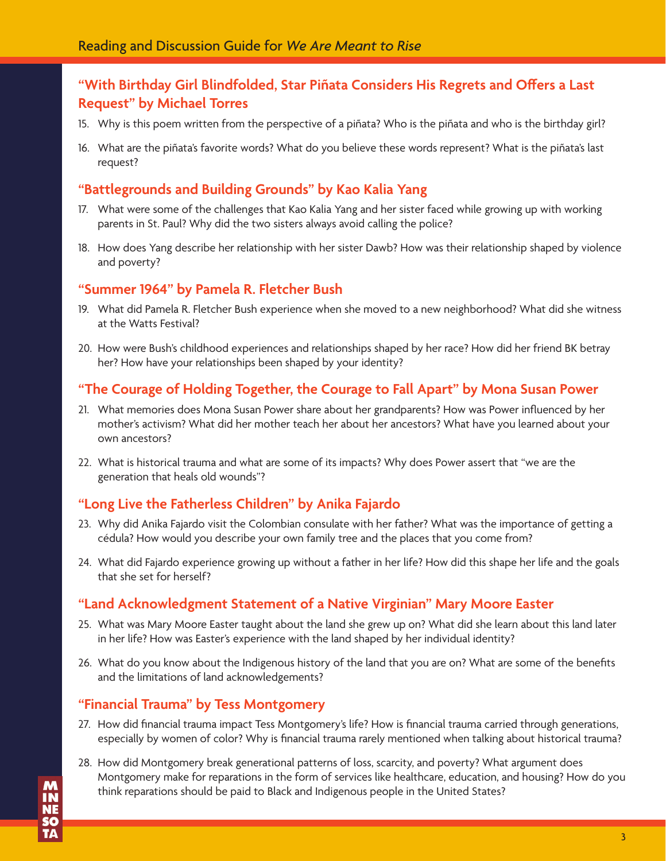# **"With Birthday Girl Blindfolded, Star Piñata Considers His Regrets and Offers a Last Request" by Michael Torres**

- 15. Why is this poem written from the perspective of a piñata? Who is the piñata and who is the birthday girl?
- 16. What are the piñata's favorite words? What do you believe these words represent? What is the piñata's last request?

# **"Battlegrounds and Building Grounds" by Kao Kalia Yang**

- 17. What were some of the challenges that Kao Kalia Yang and her sister faced while growing up with working parents in St. Paul? Why did the two sisters always avoid calling the police?
- 18. How does Yang describe her relationship with her sister Dawb? How was their relationship shaped by violence and poverty?

# **"Summer 1964" by Pamela R. Fletcher Bush**

- 19. What did Pamela R. Fletcher Bush experience when she moved to a new neighborhood? What did she witness at the Watts Festival?
- 20. How were Bush's childhood experiences and relationships shaped by her race? How did her friend BK betray her? How have your relationships been shaped by your identity?

# **"The Courage of Holding Together, the Courage to Fall Apart" by Mona Susan Power**

- 21. What memories does Mona Susan Power share about her grandparents? How was Power influenced by her mother's activism? What did her mother teach her about her ancestors? What have you learned about your own ancestors?
- 22. What is historical trauma and what are some of its impacts? Why does Power assert that "we are the generation that heals old wounds"?

# **"Long Live the Fatherless Children" by Anika Fajardo**

- 23. Why did Anika Fajardo visit the Colombian consulate with her father? What was the importance of getting a cédula? How would you describe your own family tree and the places that you come from?
- 24. What did Fajardo experience growing up without a father in her life? How did this shape her life and the goals that she set for herself?

# **"Land Acknowledgment Statement of a Native Virginian" Mary Moore Easter**

- 25. What was Mary Moore Easter taught about the land she grew up on? What did she learn about this land later in her life? How was Easter's experience with the land shaped by her individual identity?
- 26. What do you know about the Indigenous history of the land that you are on? What are some of the benefits and the limitations of land acknowledgements?

# **"Financial Trauma" by Tess Montgomery**

- 27. How did financial trauma impact Tess Montgomery's life? How is financial trauma carried through generations, especially by women of color? Why is financial trauma rarely mentioned when talking about historical trauma?
- 28. How did Montgomery break generational patterns of loss, scarcity, and poverty? What argument does Montgomery make for reparations in the form of services like healthcare, education, and housing? How do you think reparations should be paid to Black and Indigenous people in the United States?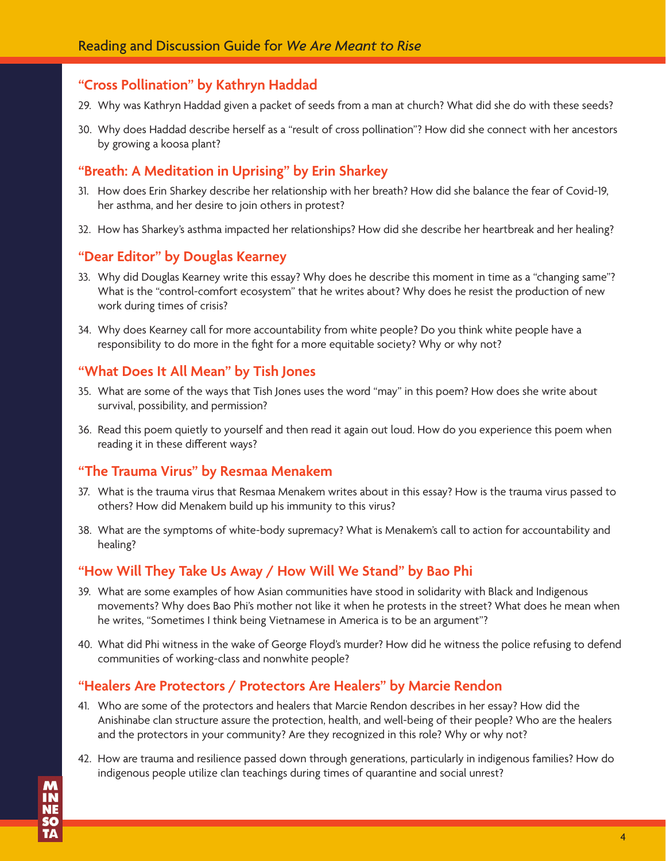#### **"Cross Pollination" by Kathryn Haddad**

- 29. Why was Kathryn Haddad given a packet of seeds from a man at church? What did she do with these seeds?
- 30. Why does Haddad describe herself as a "result of cross pollination"? How did she connect with her ancestors by growing a koosa plant?

#### **"Breath: A Meditation in Uprising" by Erin Sharkey**

- 31. How does Erin Sharkey describe her relationship with her breath? How did she balance the fear of Covid-19, her asthma, and her desire to join others in protest?
- 32. How has Sharkey's asthma impacted her relationships? How did she describe her heartbreak and her healing?

#### **"Dear Editor" by Douglas Kearney**

- 33. Why did Douglas Kearney write this essay? Why does he describe this moment in time as a "changing same"? What is the "control-comfort ecosystem" that he writes about? Why does he resist the production of new work during times of crisis?
- 34. Why does Kearney call for more accountability from white people? Do you think white people have a responsibility to do more in the fight for a more equitable society? Why or why not?

#### **"What Does It All Mean" by Tish Jones**

- 35. What are some of the ways that Tish Jones uses the word "may" in this poem? How does she write about survival, possibility, and permission?
- 36. Read this poem quietly to yourself and then read it again out loud. How do you experience this poem when reading it in these different ways?

# **"The Trauma Virus" by Resmaa Menakem**

- 37. What is the trauma virus that Resmaa Menakem writes about in this essay? How is the trauma virus passed to others? How did Menakem build up his immunity to this virus?
- 38. What are the symptoms of white-body supremacy? What is Menakem's call to action for accountability and healing?

#### **"How Will They Take Us Away / How Will We Stand" by Bao Phi**

- 39. What are some examples of how Asian communities have stood in solidarity with Black and Indigenous movements? Why does Bao Phi's mother not like it when he protests in the street? What does he mean when he writes, "Sometimes I think being Vietnamese in America is to be an argument"?
- 40. What did Phi witness in the wake of George Floyd's murder? How did he witness the police refusing to defend communities of working-class and nonwhite people?

## **"Healers Are Protectors / Protectors Are Healers" by Marcie Rendon**

- 41. Who are some of the protectors and healers that Marcie Rendon describes in her essay? How did the Anishinabe clan structure assure the protection, health, and well-being of their people? Who are the healers and the protectors in your community? Are they recognized in this role? Why or why not?
- 42. How are trauma and resilience passed down through generations, particularly in indigenous families? How do indigenous people utilize clan teachings during times of quarantine and social unrest?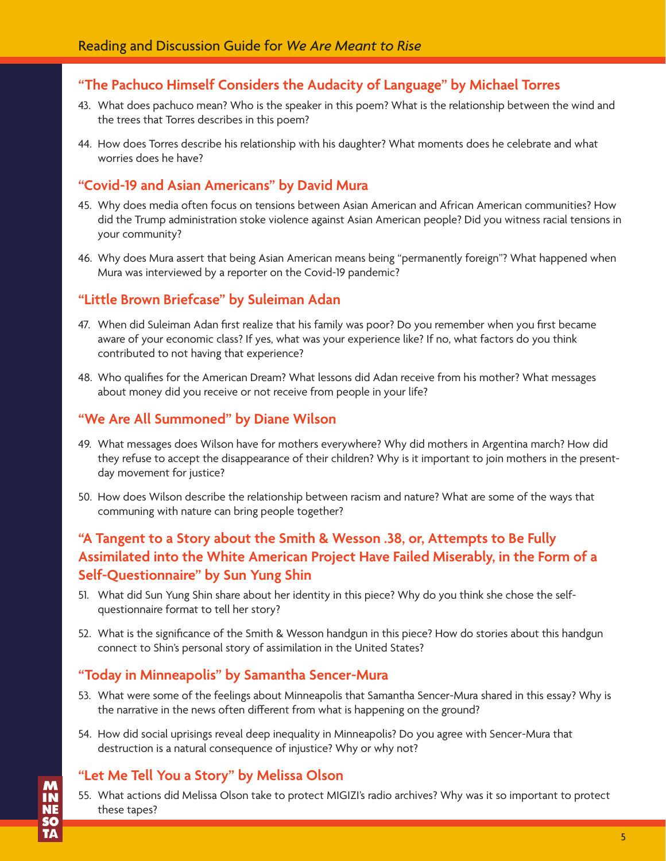## **"The Pachuco Himself Considers the Audacity of Language" by Michael Torres**

- 43. What does pachuco mean? Who is the speaker in this poem? What is the relationship between the wind and the trees that Torres describes in this poem?
- 44. How does Torres describe his relationship with his daughter? What moments does he celebrate and what worries does he have?

#### **"Covid-19 and Asian Americans" by David Mura**

- 45. Why does media often focus on tensions between Asian American and African American communities? How did the Trump administration stoke violence against Asian American people? Did you witness racial tensions in your community?
- 46. Why does Mura assert that being Asian American means being "permanently foreign"? What happened when Mura was interviewed by a reporter on the Covid-19 pandemic?

#### **"Little Brown Briefcase" by Suleiman Adan**

- 47. When did Suleiman Adan first realize that his family was poor? Do you remember when you first became aware of your economic class? If yes, what was your experience like? If no, what factors do you think contributed to not having that experience?
- 48. Who qualifies for the American Dream? What lessons did Adan receive from his mother? What messages about money did you receive or not receive from people in your life?

#### **"We Are All Summoned" by Diane Wilson**

- 49. What messages does Wilson have for mothers everywhere? Why did mothers in Argentina march? How did they refuse to accept the disappearance of their children? Why is it important to join mothers in the presentday movement for justice?
- 50. How does Wilson describe the relationship between racism and nature? What are some of the ways that communing with nature can bring people together?

# **"A Tangent to a Story about the Smith & Wesson .38, or, Attempts to Be Fully Assimilated into the White American Project Have Failed Miserably, in the Form of a Self-Questionnaire" by Sun Yung Shin**

- 51. What did Sun Yung Shin share about her identity in this piece? Why do you think she chose the selfquestionnaire format to tell her story?
- 52. What is the significance of the Smith & Wesson handgun in this piece? How do stories about this handgun connect to Shin's personal story of assimilation in the United States?

#### **"Today in Minneapolis" by Samantha Sencer-Mura**

- 53. What were some of the feelings about Minneapolis that Samantha Sencer-Mura shared in this essay? Why is the narrative in the news often different from what is happening on the ground?
- 54. How did social uprisings reveal deep inequality in Minneapolis? Do you agree with Sencer-Mura that destruction is a natural consequence of injustice? Why or why not?

## **"Let Me Tell You a Story" by Melissa Olson**

55. What actions did Melissa Olson take to protect MIGIZI's radio archives? Why was it so important to protect these tapes?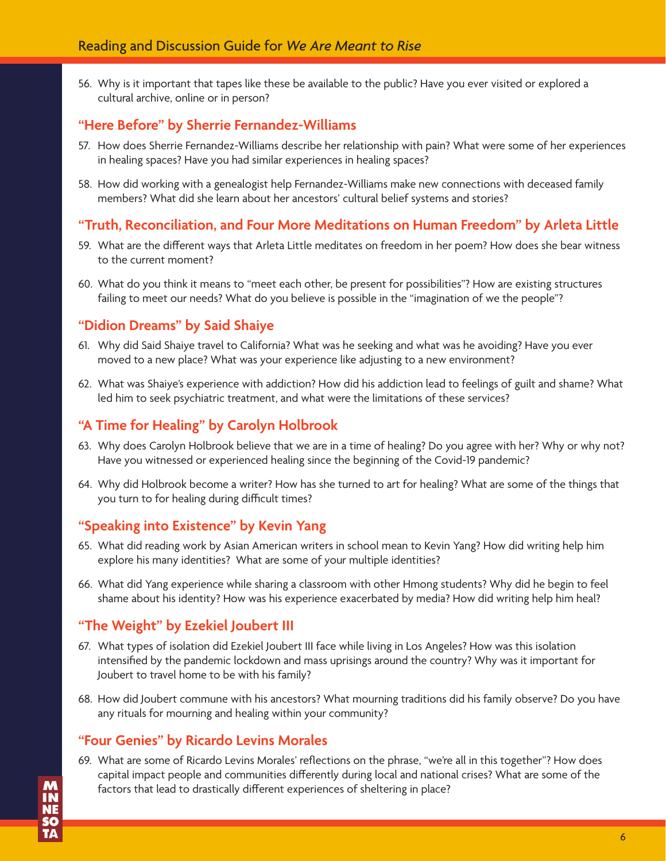56. Why is it important that tapes like these be available to the public? Have you ever visited or explored a cultural archive, online or in person?

## **"Here Before" by Sherrie Fernandez-Williams**

- 57. How does Sherrie Fernandez-Williams describe her relationship with pain? What were some of her experiences in healing spaces? Have you had similar experiences in healing spaces?
- 58. How did working with a genealogist help Fernandez-Williams make new connections with deceased family members? What did she learn about her ancestors' cultural belief systems and stories?

#### **"Truth, Reconciliation, and Four More Meditations on Human Freedom" by Arleta Little**

- 59. What are the different ways that Arleta Little meditates on freedom in her poem? How does she bear witness to the current moment?
- 60. What do you think it means to "meet each other, be present for possibilities"? How are existing structures failing to meet our needs? What do you believe is possible in the "imagination of we the people"?

#### **"Didion Dreams" by Said Shaiye**

- 61. Why did Said Shaiye travel to California? What was he seeking and what was he avoiding? Have you ever moved to a new place? What was your experience like adjusting to a new environment?
- 62. What was Shaiye's experience with addiction? How did his addiction lead to feelings of guilt and shame? What led him to seek psychiatric treatment, and what were the limitations of these services?

#### **"A Time for Healing" by Carolyn Holbrook**

- 63. Why does Carolyn Holbrook believe that we are in a time of healing? Do you agree with her? Why or why not? Have you witnessed or experienced healing since the beginning of the Covid-19 pandemic?
- 64. Why did Holbrook become a writer? How has she turned to art for healing? What are some of the things that you turn to for healing during difficult times?

#### **"Speaking into Existence" by Kevin Yang**

- 65. What did reading work by Asian American writers in school mean to Kevin Yang? How did writing help him explore his many identities? What are some of your multiple identities?
- 66. What did Yang experience while sharing a classroom with other Hmong students? Why did he begin to feel shame about his identity? How was his experience exacerbated by media? How did writing help him heal?

#### **"The Weight" by Ezekiel Joubert III**

- 67. What types of isolation did Ezekiel Joubert III face while living in Los Angeles? How was this isolation intensified by the pandemic lockdown and mass uprisings around the country? Why was it important for Joubert to travel home to be with his family?
- 68. How did Joubert commune with his ancestors? What mourning traditions did his family observe? Do you have any rituals for mourning and healing within your community?

#### **"Four Genies" by Ricardo Levins Morales**

69. What are some of Ricardo Levins Morales' reflections on the phrase, "we're all in this together"? How does capital impact people and communities differently during local and national crises? What are some of the factors that lead to drastically different experiences of sheltering in place?